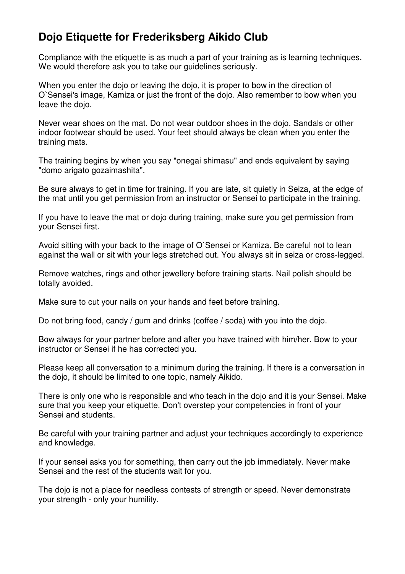## **Dojo Etiquette for Frederiksberg Aikido Club**

Compliance with the etiquette is as much a part of your training as is learning techniques. We would therefore ask you to take our guidelines seriously.

When you enter the dojo or leaving the dojo, it is proper to bow in the direction of O`Sensei's image, Kamiza or just the front of the dojo. Also remember to bow when you leave the dojo.

Never wear shoes on the mat. Do not wear outdoor shoes in the dojo. Sandals or other indoor footwear should be used. Your feet should always be clean when you enter the training mats.

The training begins by when you say "onegai shimasu" and ends equivalent by saying "domo arigato gozaimashita".

Be sure always to get in time for training. If you are late, sit quietly in Seiza, at the edge of the mat until you get permission from an instructor or Sensei to participate in the training.

If you have to leave the mat or dojo during training, make sure you get permission from your Sensei first.

Avoid sitting with your back to the image of O`Sensei or Kamiza. Be careful not to lean against the wall or sit with your legs stretched out. You always sit in seiza or cross-legged.

Remove watches, rings and other jewellery before training starts. Nail polish should be totally avoided.

Make sure to cut your nails on your hands and feet before training.

Do not bring food, candy / gum and drinks (coffee / soda) with you into the dojo.

Bow always for your partner before and after you have trained with him/her. Bow to your instructor or Sensei if he has corrected you.

Please keep all conversation to a minimum during the training. If there is a conversation in the dojo, it should be limited to one topic, namely Aikido.

There is only one who is responsible and who teach in the dojo and it is your Sensei. Make sure that you keep your etiquette. Don't overstep your competencies in front of your Sensei and students.

Be careful with your training partner and adjust your techniques accordingly to experience and knowledge.

If your sensei asks you for something, then carry out the job immediately. Never make Sensei and the rest of the students wait for you.

The dojo is not a place for needless contests of strength or speed. Never demonstrate your strength - only your humility.